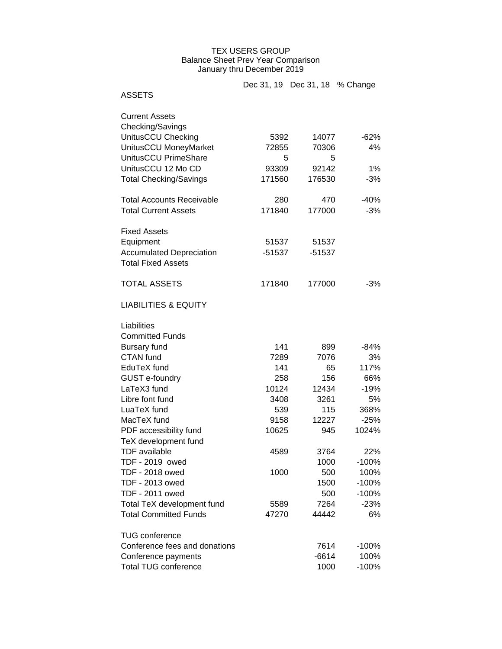## TEX USERS GROUP Balance Sheet Prev Year Comparison January thru December 2019

|                                    |          | Dec 31, 19 Dec 31, 18 % Change |              |
|------------------------------------|----------|--------------------------------|--------------|
| <b>ASSETS</b>                      |          |                                |              |
| <b>Current Assets</b>              |          |                                |              |
| Checking/Savings                   |          |                                |              |
| UnitusCCU Checking                 | 5392     | 14077                          | $-62%$       |
| UnitusCCU MoneyMarket              | 72855    | 70306                          | 4%           |
| UnitusCCU PrimeShare               | 5        | 5                              |              |
| UnitusCCU 12 Mo CD                 | 93309    | 92142                          | 1%           |
| <b>Total Checking/Savings</b>      | 171560   | 176530                         | $-3%$        |
| <b>Total Accounts Receivable</b>   | 280      | 470                            | $-40%$       |
| <b>Total Current Assets</b>        | 171840   | 177000                         | $-3%$        |
| <b>Fixed Assets</b>                |          |                                |              |
| Equipment                          | 51537    | 51537                          |              |
| <b>Accumulated Depreciation</b>    | $-51537$ | $-51537$                       |              |
| <b>Total Fixed Assets</b>          |          |                                |              |
| <b>TOTAL ASSETS</b>                | 171840   | 177000                         | $-3%$        |
| <b>LIABILITIES &amp; EQUITY</b>    |          |                                |              |
| Liabilities                        |          |                                |              |
| <b>Committed Funds</b>             |          |                                |              |
| <b>Bursary fund</b>                | 141      | 899                            | $-84%$       |
| <b>CTAN</b> fund                   | 7289     | 7076                           | 3%           |
| EduTeX fund                        | 141      | 65                             | 117%         |
| GUST e-foundry                     | 258      | 156                            | 66%          |
| LaTeX3 fund                        | 10124    | 12434                          | $-19%$       |
| Libre font fund                    | 3408     | 3261                           | 5%           |
| LuaTeX fund                        | 539      | 115                            | 368%         |
| MacTeX fund                        | 9158     | 12227                          | $-25%$       |
| PDF accessibility fund             | 10625    | 945                            | 1024%        |
| TeX development fund               |          |                                |              |
| <b>TDF</b> available               | 4589     | 3764                           | 22%          |
| TDF - 2019 owed                    |          | 1000                           | $-100%$      |
| TDF - 2018 owed                    | 1000     | 500                            | 100%         |
| TDF - 2013 owed<br>TDF - 2011 owed |          | 1500                           | $-100%$      |
|                                    |          | 500<br>7264                    | $-100%$      |
| Total TeX development fund         | 5589     |                                | $-23%$<br>6% |
| <b>Total Committed Funds</b>       | 47270    | 44442                          |              |
| <b>TUG conference</b>              |          |                                |              |
| Conference fees and donations      |          | 7614                           | $-100%$      |
| Conference payments                |          | $-6614$                        | 100%         |
| <b>Total TUG conference</b>        |          | 1000                           | $-100%$      |